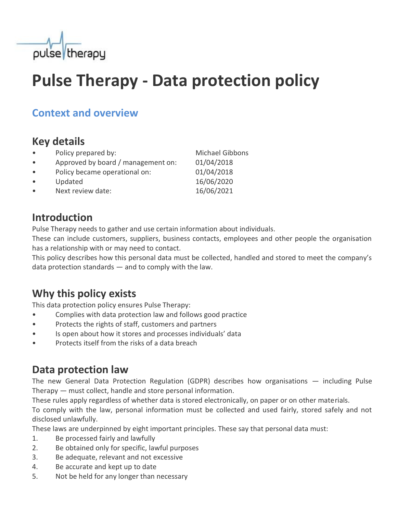

# **Pulse Therapy - Data protection policy**

### **Context and overview**

## **Key details**

- Policy prepared by: Michael Gibbons
- Approved by board / management on: 01/04/2018
- Policy became operational on: 01/04/2018
- 
- Next review date: 16/06/2021

## **Introduction**

Pulse Therapy needs to gather and use certain information about individuals.

These can include customers, suppliers, business contacts, employees and other people the organisation has a relationship with or may need to contact.

This policy describes how this personal data must be collected, handled and stored to meet the company's data protection standards — and to comply with the law.

# **Why this policy exists**

This data protection policy ensures Pulse Therapy:

- Complies with data protection law and follows good practice
- Protects the rights of staff, customers and partners
- Is open about how it stores and processes individuals' data
- Protects itself from the risks of a data breach

# **Data protection law**

The new General Data Protection Regulation (GDPR) describes how organisations — including Pulse Therapy — must collect, handle and store personal information.

These rules apply regardless of whether data is stored electronically, on paper or on other materials.

To comply with the law, personal information must be collected and used fairly, stored safely and not disclosed unlawfully.

These laws are underpinned by eight important principles. These say that personal data must:

- 1. Be processed fairly and lawfully
- 2. Be obtained only for specific, lawful purposes
- 3. Be adequate, relevant and not excessive
- 4. Be accurate and kept up to date
- 5. Not be held for any longer than necessary

Updated 16/06/2020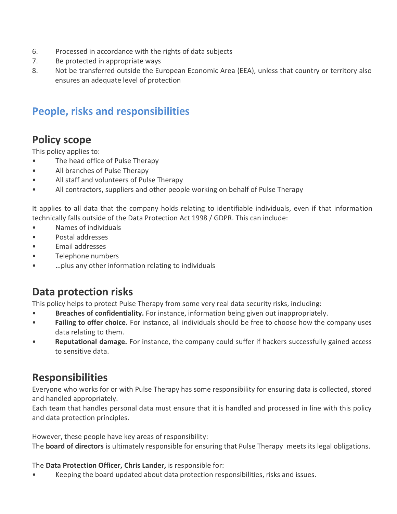- 6. Processed in accordance with the rights of data subjects
- 7. Be protected in appropriate ways
- 8. Not be transferred outside the European Economic Area (EEA), unless that country or territory also ensures an adequate level of protection

## **People, risks and responsibilities**

## **Policy scope**

This policy applies to:

- The head office of Pulse Therapy
- All branches of Pulse Therapy
- All staff and volunteers of Pulse Therapy
- All contractors, suppliers and other people working on behalf of Pulse Therapy

It applies to all data that the company holds relating to identifiable individuals, even if that information technically falls outside of the Data Protection Act 1998 / GDPR. This can include:

- Names of individuals
- Postal addresses
- Email addresses
- Telephone numbers
- …plus any other information relating to individuals

# **Data protection risks**

This policy helps to protect Pulse Therapy from some very real data security risks, including:

- **Breaches of confidentiality.** For instance, information being given out inappropriately.
- Failing to offer choice. For instance, all individuals should be free to choose how the company uses data relating to them.
- **Reputational damage.** For instance, the company could suffer if hackers successfully gained access to sensitive data.

### **Responsibilities**

Everyone who works for or with Pulse Therapy has some responsibility for ensuring data is collected, stored and handled appropriately.

Each team that handles personal data must ensure that it is handled and processed in line with this policy and data protection principles.

However, these people have key areas of responsibility:

The **board of directors** is ultimately responsible for ensuring that Pulse Therapy meets its legal obligations.

The **Data Protection Officer, Chris Lander,** is responsible for:

• Keeping the board updated about data protection responsibilities, risks and issues.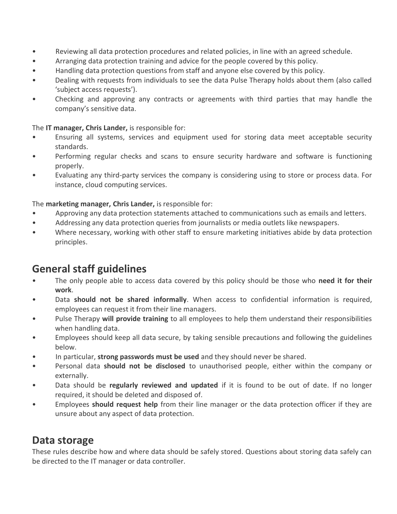- Reviewing all data protection procedures and related policies, in line with an agreed schedule.
- Arranging data protection training and advice for the people covered by this policy.
- Handling data protection questions from staff and anyone else covered by this policy.
- Dealing with requests from individuals to see the data Pulse Therapy holds about them (also called 'subject access requests').
- Checking and approving any contracts or agreements with third parties that may handle the company's sensitive data.

#### The **IT manager, Chris Lander,** is responsible for:

- Ensuring all systems, services and equipment used for storing data meet acceptable security standards.
- Performing regular checks and scans to ensure security hardware and software is functioning properly.
- Evaluating any third-party services the company is considering using to store or process data. For instance, cloud computing services.

#### The **marketing manager, Chris Lander,** is responsible for:

- Approving any data protection statements attached to communications such as emails and letters.
- Addressing any data protection queries from journalists or media outlets like newspapers.
- Where necessary, working with other staff to ensure marketing initiatives abide by data protection principles.

### **General staff guidelines**

- The only people able to access data covered by this policy should be those who **need it for their work**.
- Data **should not be shared informally**. When access to confidential information is required, employees can request it from their line managers.
- Pulse Therapy **will provide training** to all employees to help them understand their responsibilities when handling data.
- Employees should keep all data secure, by taking sensible precautions and following the guidelines below.
- In particular, **strong passwords must be used** and they should never be shared.
- Personal data **should not be disclosed** to unauthorised people, either within the company or externally.
- Data should be **regularly reviewed and updated** if it is found to be out of date. If no longer required, it should be deleted and disposed of.
- Employees **should request help** from their line manager or the data protection officer if they are unsure about any aspect of data protection.

### **Data storage**

These rules describe how and where data should be safely stored. Questions about storing data safely can be directed to the IT manager or data controller.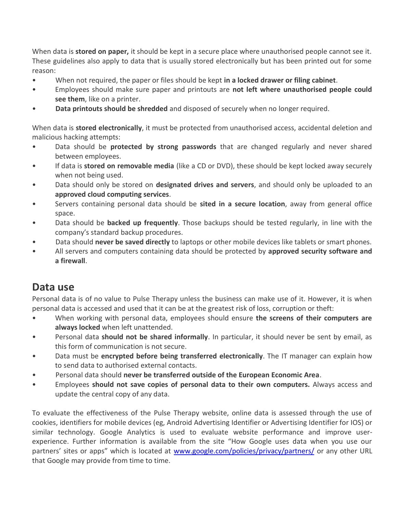When data is **stored on paper,** it should be kept in a secure place where unauthorised people cannot see it. These guidelines also apply to data that is usually stored electronically but has been printed out for some reason:

- When not required, the paper or files should be kept **in a locked drawer or filing cabinet**.
- Employees should make sure paper and printouts are **not left where unauthorised people could see them**, like on a printer.
- **Data printouts should be shredded** and disposed of securely when no longer required.

When data is **stored electronically**, it must be protected from unauthorised access, accidental deletion and malicious hacking attempts:

- Data should be **protected by strong passwords** that are changed regularly and never shared between employees.
- If data is **stored on removable media** (like a CD or DVD), these should be kept locked away securely when not being used.
- Data should only be stored on **designated drives and servers**, and should only be uploaded to an **approved cloud computing services**.
- Servers containing personal data should be **sited in a secure location**, away from general office space.
- Data should be **backed up frequently**. Those backups should be tested regularly, in line with the company's standard backup procedures.
- Data should **never be saved directly** to laptops or other mobile devices like tablets or smart phones.
- All servers and computers containing data should be protected by **approved security software and a firewall**.

### **Data use**

Personal data is of no value to Pulse Therapy unless the business can make use of it. However, it is when personal data is accessed and used that it can be at the greatest risk of loss, corruption or theft:

- When working with personal data, employees should ensure **the screens of their computers are always locked** when left unattended.
- Personal data **should not be shared informally**. In particular, it should never be sent by email, as this form of communication is not secure.
- Data must be **encrypted before being transferred electronically**. The IT manager can explain how to send data to authorised external contacts.
- Personal data should **never be transferred outside of the European Economic Area**.
- Employees **should not save copies of personal data to their own computers.** Always access and update the central copy of any data.

To evaluate the effectiveness of the Pulse Therapy website, online data is assessed through the use of cookies, identifiers for mobile devices (eg, Android Advertising Identifier or Advertising Identifier for IOS) or similar technology. Google Analytics is used to evaluate website performance and improve userexperience. Further information is available from the site "How Google uses data when you use our partners' sites or apps" which is located at [www.google.com/policies/privacy/partners/](http://www.google.com/policies/privacy/partners/) or any other URL that Google may provide from time to time.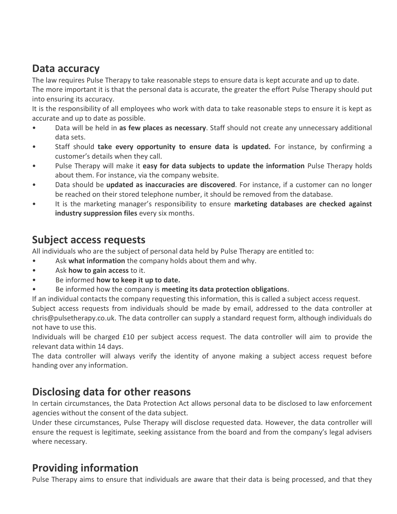### **Data accuracy**

The law requires Pulse Therapy to take reasonable steps to ensure data is kept accurate and up to date. The more important it is that the personal data is accurate, the greater the effort Pulse Therapy should put into ensuring its accuracy.

It is the responsibility of all employees who work with data to take reasonable steps to ensure it is kept as accurate and up to date as possible.

- Data will be held in **as few places as necessary**. Staff should not create any unnecessary additional data sets.
- Staff should **take every opportunity to ensure data is updated.** For instance, by confirming a customer's details when they call.
- Pulse Therapy will make it **easy for data subjects to update the information** Pulse Therapy holds about them. For instance, via the company website.
- Data should be **updated as inaccuracies are discovered**. For instance, if a customer can no longer be reached on their stored telephone number, it should be removed from the database.
- It is the marketing manager's responsibility to ensure **marketing databases are checked against industry suppression files** every six months.

### **Subject access requests**

All individuals who are the subject of personal data held by Pulse Therapy are entitled to:

- Ask **what information** the company holds about them and why.
- Ask **how to gain access** to it.
- Be informed **how to keep it up to date.**
- Be informed how the company is **meeting its data protection obligations**.

If an individual contacts the company requesting this information, this is called a subject access request. Subject access requests from individuals should be made by email, addressed to the data controller at chris@pulsetherapy.co.uk. The data controller can supply a standard request form, although individuals do not have to use this.

Individuals will be charged £10 per subject access request. The data controller will aim to provide the relevant data within 14 days.

The data controller will always verify the identity of anyone making a subject access request before handing over any information.

### **Disclosing data for other reasons**

In certain circumstances, the Data Protection Act allows personal data to be disclosed to law enforcement agencies without the consent of the data subject.

Under these circumstances, Pulse Therapy will disclose requested data. However, the data controller will ensure the request is legitimate, seeking assistance from the board and from the company's legal advisers where necessary.

### **Providing information**

Pulse Therapy aims to ensure that individuals are aware that their data is being processed, and that they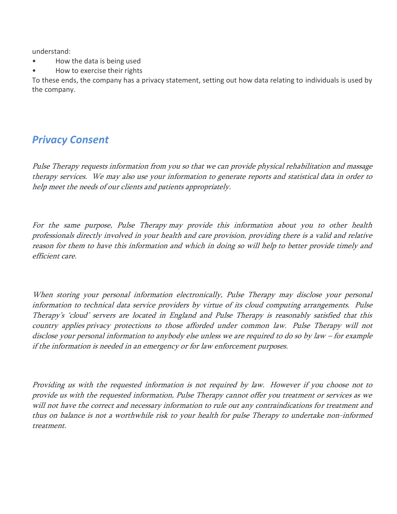understand:

- How the data is being used
- How to exercise their rights

To these ends, the company has a privacy statement, setting out how data relating to individuals is used by the company.

### *Privacy Consent*

Pulse Therapy requests information from you so that we can provide physical rehabilitation and massage therapy services. We may also use your information to generate reports and statistical data in order to help meet the needs of our clients and patients appropriately.

For the same purpose, Pulse Therapy may provide this information about you to other health professionals directly involved in your health and care provision, providing there is a valid and relative reason for them to have this information and which in doing so will help to better provide timely and efficient care.

When storing your personal information electronically, Pulse Therapy may disclose your personal information to technical data service providers by virtue of its cloud computing arrangements. Pulse Therapy's 'cloud' servers are located in England and Pulse Therapy is reasonably satisfied that this country applies privacy protections to those afforded under common law. Pulse Therapy will not disclose your personal information to anybody else unless we are required to do so by law – for example if the information is needed in an emergency or for law enforcement purposes.

Providing us with the requested information is not required by law. However if you choose not to provide us with the requested information, Pulse Therapy cannot offer you treatment or services as we will not have the correct and necessary information to rule out any contraindications for treatment and thus on balance is not a worthwhile risk to your health for pulse Therapy to undertake non-informed treatment.